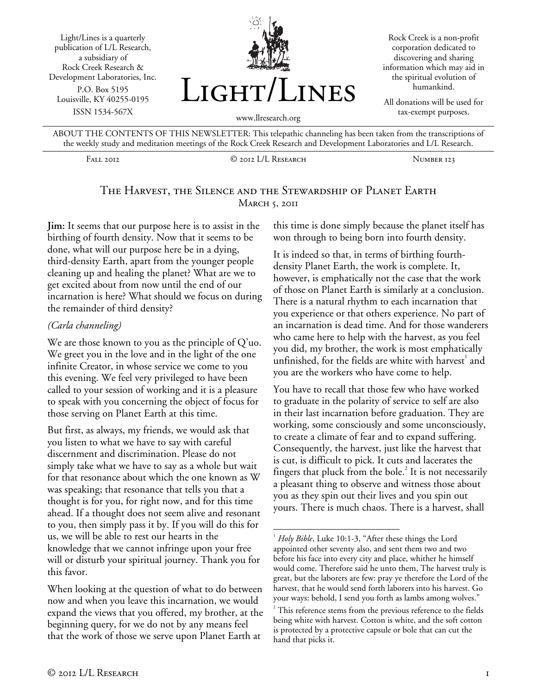Light/Lines is a quarterly publication of L/L Research, a subsidiary of Rock Creek Research & Development Laboratories, Inc. P.O. Box 5195 Louisville, KY 40255-0195 ISSN 1534-567X



Rock Creek is a non-profit corporation dedicated to discovering and sharing information which may aid in the spiritual evolution of humankind.

All donations will be used for tax-exempt purposes.

ABOUT THE CONTENTS OF THIS NEWSLETTER: This telepathic channeling has been taken from the transcriptions of the weekly study and meditation meetings of the Rock Creek Research and Development Laboratories and L/L Research.

Fall 2012 © 2012 L/L Research Number 123

## The Harvest, the Silence and the Stewardship of Planet Earth **MARCH 5, 2011**

 $\overline{a}$ 

**Jim:** It seems that our purpose here is to assist in the birthing of fourth density. Now that it seems to be done, what will our purpose here be in a dying, third-density Earth, apart from the younger people cleaning up and healing the planet? What are we to get excited about from now until the end of our incarnation is here? What should we focus on during the remainder of third density?

## *(Carla channeling)*

We are those known to you as the principle of Q'uo. We greet you in the love and in the light of the one infinite Creator, in whose service we come to you this evening. We feel very privileged to have been called to your session of working and it is a pleasure to speak with you concerning the object of focus for those serving on Planet Earth at this time.

But first, as always, my friends, we would ask that you listen to what we have to say with careful discernment and discrimination. Please do not simply take what we have to say as a whole but wait for that resonance about which the one known as W was speaking; that resonance that tells you that a thought is for you, for right now, and for this time ahead. If a thought does not seem alive and resonant to you, then simply pass it by. If you will do this for us, we will be able to rest our hearts in the knowledge that we cannot infringe upon your free will or disturb your spiritual journey. Thank you for this favor.

When looking at the question of what to do between now and when you leave this incarnation, we would expand the views that you offered, my brother, at the beginning query, for we do not by any means feel that the work of those we serve upon Planet Earth at

this time is done simply because the planet itself has won through to being born into fourth density.

It is indeed so that, in terms of birthing fourthdensity Planet Earth, the work is complete. It, however, is emphatically not the case that the work of those on Planet Earth is similarly at a conclusion. There is a natural rhythm to each incarnation that you experience or that others experience. No part of an incarnation is dead time. And for those wanderers who came here to help with the harvest, as you feel you did, my brother, the work is most emphatically unfinished, for the fields are white with harvest<sup>1</sup> and you are the workers who have come to help.

You have to recall that those few who have worked to graduate in the polarity of service to self are also in their last incarnation before graduation. They are working, some consciously and some unconsciously, to create a climate of fear and to expand suffering. Consequently, the harvest, just like the harvest that is cut, is difficult to pick. It cuts and lacerates the fingers that pluck from the bole. $^2$  It is not necessarily a pleasant thing to observe and witness those about you as they spin out their lives and you spin out yours. There is much chaos. There is a harvest, shall

<sup>&</sup>lt;sup>1</sup> Holy Bible, Luke 10:1-3, "After these things the Lord appointed other seventy also, and sent them two and two before his face into every city and place, whither he himself would come. Therefore said he unto them, The harvest truly is great, but the laborers are few: pray ye therefore the Lord of the harvest, that he would send forth laborers into his harvest. Go your ways: behold, I send you forth as lambs among wolves."

<sup>2</sup> This reference stems from the previous reference to the fields being white with harvest. Cotton is white, and the soft cotton is protected by a protective capsule or bole that can cut the hand that picks it.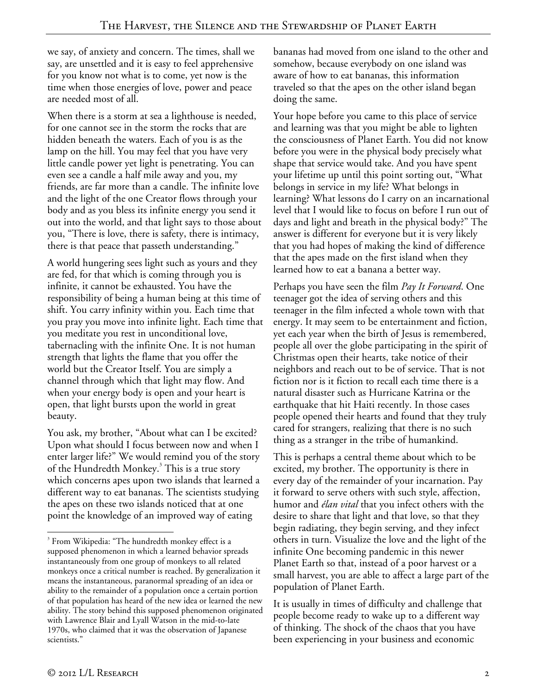we say, of anxiety and concern. The times, shall we say, are unsettled and it is easy to feel apprehensive for you know not what is to come, yet now is the time when those energies of love, power and peace are needed most of all.

When there is a storm at sea a lighthouse is needed, for one cannot see in the storm the rocks that are hidden beneath the waters. Each of you is as the lamp on the hill. You may feel that you have very little candle power yet light is penetrating. You can even see a candle a half mile away and you, my friends, are far more than a candle. The infinite love and the light of the one Creator flows through your body and as you bless its infinite energy you send it out into the world, and that light says to those about you, "There is love, there is safety, there is intimacy, there is that peace that passeth understanding."

A world hungering sees light such as yours and they are fed, for that which is coming through you is infinite, it cannot be exhausted. You have the responsibility of being a human being at this time of shift. You carry infinity within you. Each time that you pray you move into infinite light. Each time that you meditate you rest in unconditional love, tabernacling with the infinite One. It is not human strength that lights the flame that you offer the world but the Creator Itself. You are simply a channel through which that light may flow. And when your energy body is open and your heart is open, that light bursts upon the world in great beauty.

You ask, my brother, "About what can I be excited? Upon what should I focus between now and when I enter larger life?" We would remind you of the story of the Hundredth Monkey.<sup>3</sup> This is a true story which concerns apes upon two islands that learned a different way to eat bananas. The scientists studying the apes on these two islands noticed that at one point the knowledge of an improved way of eating

bananas had moved from one island to the other and somehow, because everybody on one island was aware of how to eat bananas, this information traveled so that the apes on the other island began doing the same.

Your hope before you came to this place of service and learning was that you might be able to lighten the consciousness of Planet Earth. You did not know before you were in the physical body precisely what shape that service would take. And you have spent your lifetime up until this point sorting out, "What belongs in service in my life? What belongs in learning? What lessons do I carry on an incarnational level that I would like to focus on before I run out of days and light and breath in the physical body?" The answer is different for everyone but it is very likely that you had hopes of making the kind of difference that the apes made on the first island when they learned how to eat a banana a better way.

Perhaps you have seen the film *Pay It Forward*. One teenager got the idea of serving others and this teenager in the film infected a whole town with that energy. It may seem to be entertainment and fiction, yet each year when the birth of Jesus is remembered, people all over the globe participating in the spirit of Christmas open their hearts, take notice of their neighbors and reach out to be of service. That is not fiction nor is it fiction to recall each time there is a natural disaster such as Hurricane Katrina or the earthquake that hit Haiti recently. In those cases people opened their hearts and found that they truly cared for strangers, realizing that there is no such thing as a stranger in the tribe of humankind.

This is perhaps a central theme about which to be excited, my brother. The opportunity is there in every day of the remainder of your incarnation. Pay it forward to serve others with such style, affection, humor and *élan vital* that you infect others with the desire to share that light and that love, so that they begin radiating, they begin serving, and they infect others in turn. Visualize the love and the light of the infinite One becoming pandemic in this newer Planet Earth so that, instead of a poor harvest or a small harvest, you are able to affect a large part of the population of Planet Earth.

It is usually in times of difficulty and challenge that people become ready to wake up to a different way of thinking. The shock of the chaos that you have been experiencing in your business and economic

1

<sup>&</sup>lt;sup>3</sup> From Wikipedia: "The hundredth monkey effect is a supposed phenomenon in which a learned behavior spreads instantaneously from one group of monkeys to all related monkeys once a critical number is reached. By generalization it means the instantaneous, paranormal spreading of an idea or ability to the remainder of a population once a certain portion of that population has heard of the new idea or learned the new ability. The story behind this supposed phenomenon originated with Lawrence Blair and Lyall Watson in the mid-to-late 1970s, who claimed that it was the observation of Japanese scientists."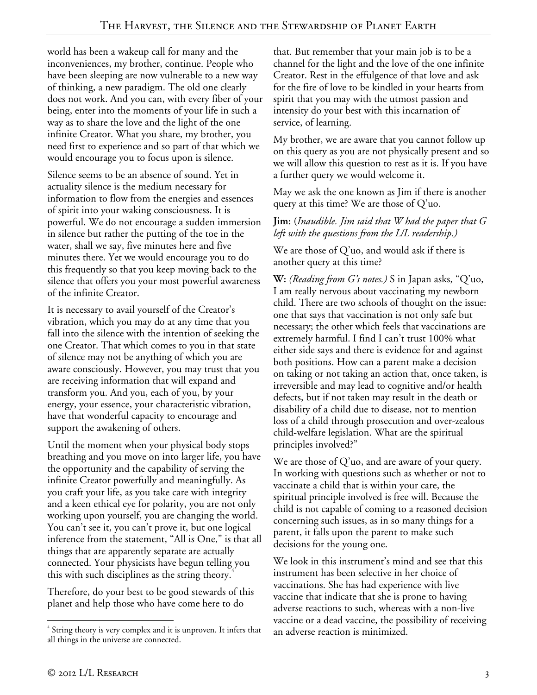world has been a wakeup call for many and the inconveniences, my brother, continue. People who have been sleeping are now vulnerable to a new way of thinking, a new paradigm. The old one clearly does not work. And you can, with every fiber of your being, enter into the moments of your life in such a way as to share the love and the light of the one infinite Creator. What you share, my brother, you need first to experience and so part of that which we would encourage you to focus upon is silence.

Silence seems to be an absence of sound. Yet in actuality silence is the medium necessary for information to flow from the energies and essences of spirit into your waking consciousness. It is powerful. We do not encourage a sudden immersion in silence but rather the putting of the toe in the water, shall we say, five minutes here and five minutes there. Yet we would encourage you to do this frequently so that you keep moving back to the silence that offers you your most powerful awareness of the infinite Creator.

It is necessary to avail yourself of the Creator's vibration, which you may do at any time that you fall into the silence with the intention of seeking the one Creator. That which comes to you in that state of silence may not be anything of which you are aware consciously. However, you may trust that you are receiving information that will expand and transform you. And you, each of you, by your energy, your essence, your characteristic vibration, have that wonderful capacity to encourage and support the awakening of others.

Until the moment when your physical body stops breathing and you move on into larger life, you have the opportunity and the capability of serving the infinite Creator powerfully and meaningfully. As you craft your life, as you take care with integrity and a keen ethical eye for polarity, you are not only working upon yourself, you are changing the world. You can't see it, you can't prove it, but one logical inference from the statement, "All is One," is that all things that are apparently separate are actually connected. Your physicists have begun telling you this with such disciplines as the string theory.<sup>4</sup>

Therefore, do your best to be good stewards of this planet and help those who have come here to do

that. But remember that your main job is to be a channel for the light and the love of the one infinite Creator. Rest in the effulgence of that love and ask for the fire of love to be kindled in your hearts from spirit that you may with the utmost passion and intensity do your best with this incarnation of service, of learning.

My brother, we are aware that you cannot follow up on this query as you are not physically present and so we will allow this question to rest as it is. If you have a further query we would welcome it.

May we ask the one known as Jim if there is another query at this time? We are those of Q'uo.

**Jim:** (*Inaudible. Jim said that W had the paper that G left with the questions from the L/L readership.)*

We are those of Q'uo, and would ask if there is another query at this time?

**W:** *(Reading from G's notes.)* S in Japan asks, "Q'uo, I am really nervous about vaccinating my newborn child. There are two schools of thought on the issue: one that says that vaccination is not only safe but necessary; the other which feels that vaccinations are extremely harmful. I find I can't trust 100% what either side says and there is evidence for and against both positions. How can a parent make a decision on taking or not taking an action that, once taken, is irreversible and may lead to cognitive and/or health defects, but if not taken may result in the death or disability of a child due to disease, not to mention loss of a child through prosecution and over-zealous child-welfare legislation. What are the spiritual principles involved?"

We are those of Q'uo, and are aware of your query. In working with questions such as whether or not to vaccinate a child that is within your care, the spiritual principle involved is free will. Because the child is not capable of coming to a reasoned decision concerning such issues, as in so many things for a parent, it falls upon the parent to make such decisions for the young one.

We look in this instrument's mind and see that this instrument has been selective in her choice of vaccinations. She has had experience with live vaccine that indicate that she is prone to having adverse reactions to such, whereas with a non-live vaccine or a dead vaccine, the possibility of receiving an adverse reaction is minimized.

 $\overline{a}$ <sup>4</sup> String theory is very complex and it is unproven. It infers that all things in the universe are connected.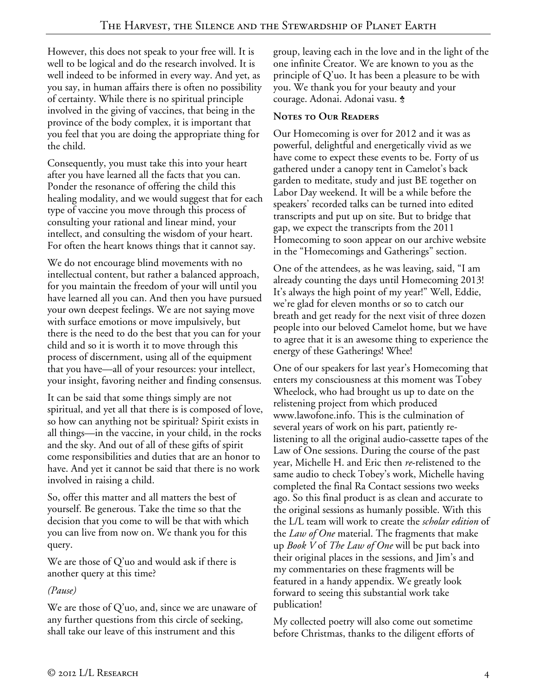However, this does not speak to your free will. It is well to be logical and do the research involved. It is well indeed to be informed in every way. And yet, as you say, in human affairs there is often no possibility of certainty. While there is no spiritual principle involved in the giving of vaccines, that being in the province of the body complex, it is important that you feel that you are doing the appropriate thing for the child.

Consequently, you must take this into your heart after you have learned all the facts that you can. Ponder the resonance of offering the child this healing modality, and we would suggest that for each type of vaccine you move through this process of consulting your rational and linear mind, your intellect, and consulting the wisdom of your heart. For often the heart knows things that it cannot say.

We do not encourage blind movements with no intellectual content, but rather a balanced approach, for you maintain the freedom of your will until you have learned all you can. And then you have pursued your own deepest feelings. We are not saying move with surface emotions or move impulsively, but there is the need to do the best that you can for your child and so it is worth it to move through this process of discernment, using all of the equipment that you have—all of your resources: your intellect, your insight, favoring neither and finding consensus.

It can be said that some things simply are not spiritual, and yet all that there is is composed of love, so how can anything not be spiritual? Spirit exists in all things—in the vaccine, in your child, in the rocks and the sky. And out of all of these gifts of spirit come responsibilities and duties that are an honor to have. And yet it cannot be said that there is no work involved in raising a child.

So, offer this matter and all matters the best of yourself. Be generous. Take the time so that the decision that you come to will be that with which you can live from now on. We thank you for this query.

We are those of Q'uo and would ask if there is another query at this time?

## *(Pause)*

We are those of Q'uo, and, since we are unaware of any further questions from this circle of seeking, shall take our leave of this instrument and this

group, leaving each in the love and in the light of the one infinite Creator. We are known to you as the principle of Q'uo. It has been a pleasure to be with you. We thank you for your beauty and your courage. Adonai. Adonai vasu. <del>\$</del>

## **Notes to Our Readers**

Our Homecoming is over for 2012 and it was as powerful, delightful and energetically vivid as we have come to expect these events to be. Forty of us gathered under a canopy tent in Camelot's back garden to meditate, study and just BE together on Labor Day weekend. It will be a while before the speakers' recorded talks can be turned into edited transcripts and put up on site. But to bridge that gap, we expect the transcripts from the 2011 Homecoming to soon appear on our archive website in the "Homecomings and Gatherings" section.

One of the attendees, as he was leaving, said, "I am already counting the days until Homecoming 2013! It's always the high point of my year!" Well, Eddie, we're glad for eleven months or so to catch our breath and get ready for the next visit of three dozen people into our beloved Camelot home, but we have to agree that it is an awesome thing to experience the energy of these Gatherings! Whee!

One of our speakers for last year's Homecoming that enters my consciousness at this moment was Tobey Wheelock, who had brought us up to date on the relistening project from which produced www.lawofone.info. This is the culmination of several years of work on his part, patiently relistening to all the original audio-cassette tapes of the Law of One sessions. During the course of the past year, Michelle H. and Eric then *re*-relistened to the same audio to check Tobey's work, Michelle having completed the final Ra Contact sessions two weeks ago. So this final product is as clean and accurate to the original sessions as humanly possible. With this the L/L team will work to create the *scholar edition* of the *Law of One* material. The fragments that make up *Book V* of *The Law of One* will be put back into their original places in the sessions, and Jim's and my commentaries on these fragments will be featured in a handy appendix. We greatly look forward to seeing this substantial work take publication!

My collected poetry will also come out sometime before Christmas, thanks to the diligent efforts of